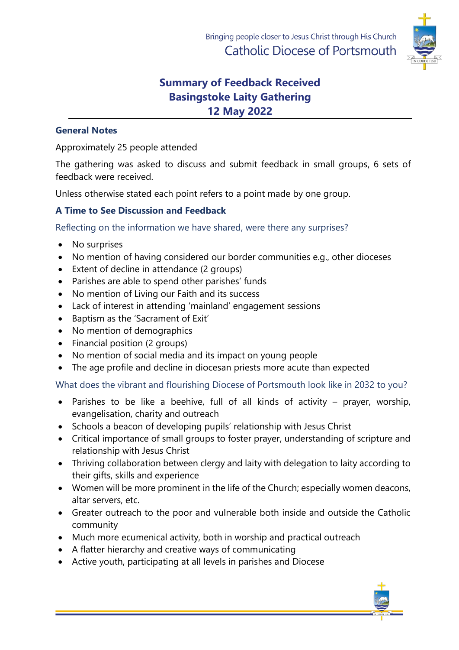

# **Summary of Feedback Received Basingstoke Laity Gathering 12 May 2022**

## **General Notes**

Approximately 25 people attended

The gathering was asked to discuss and submit feedback in small groups, 6 sets of feedback were received.

Unless otherwise stated each point refers to a point made by one group.

## **A Time to See Discussion and Feedback**

Reflecting on the information we have shared, were there any surprises?

- No surprises
- No mention of having considered our border communities e.g., other dioceses
- Extent of decline in attendance (2 groups)
- Parishes are able to spend other parishes' funds
- No mention of Living our Faith and its success
- Lack of interest in attending 'mainland' engagement sessions
- Baptism as the 'Sacrament of Exit'
- No mention of demographics
- Financial position (2 groups)
- No mention of social media and its impact on young people
- The age profile and decline in diocesan priests more acute than expected

What does the vibrant and flourishing Diocese of Portsmouth look like in 2032 to you?

- Parishes to be like a beehive, full of all kinds of activity prayer, worship, evangelisation, charity and outreach
- Schools a beacon of developing pupils' relationship with Jesus Christ
- Critical importance of small groups to foster prayer, understanding of scripture and relationship with Jesus Christ
- Thriving collaboration between clergy and laity with delegation to laity according to their gifts, skills and experience
- Women will be more prominent in the life of the Church; especially women deacons, altar servers, etc.
- Greater outreach to the poor and vulnerable both inside and outside the Catholic community
- Much more ecumenical activity, both in worship and practical outreach
- A flatter hierarchy and creative ways of communicating
- Active youth, participating at all levels in parishes and Diocese

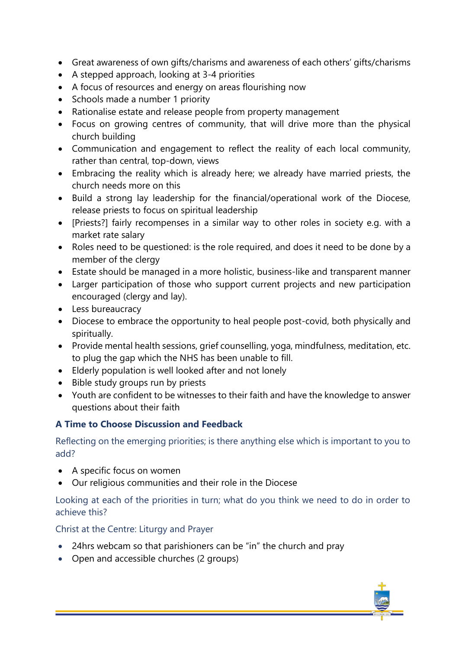- Great awareness of own gifts/charisms and awareness of each others' gifts/charisms
- A stepped approach, looking at 3-4 priorities
- A focus of resources and energy on areas flourishing now
- Schools made a number 1 priority
- Rationalise estate and release people from property management
- Focus on growing centres of community, that will drive more than the physical church building
- Communication and engagement to reflect the reality of each local community, rather than central, top-down, views
- Embracing the reality which is already here; we already have married priests, the church needs more on this
- Build a strong lay leadership for the financial/operational work of the Diocese, release priests to focus on spiritual leadership
- [Priests?] fairly recompenses in a similar way to other roles in society e.g. with a market rate salary
- Roles need to be questioned: is the role required, and does it need to be done by a member of the clergy
- Estate should be managed in a more holistic, business-like and transparent manner
- Larger participation of those who support current projects and new participation encouraged (clergy and lay).
- Less bureaucracy
- Diocese to embrace the opportunity to heal people post-covid, both physically and spiritually.
- Provide mental health sessions, grief counselling, yoga, mindfulness, meditation, etc. to plug the gap which the NHS has been unable to fill.
- Elderly population is well looked after and not lonely
- Bible study groups run by priests
- Youth are confident to be witnesses to their faith and have the knowledge to answer questions about their faith

### **A Time to Choose Discussion and Feedback**

Reflecting on the emerging priorities; is there anything else which is important to you to add?

- A specific focus on women
- Our religious communities and their role in the Diocese

Looking at each of the priorities in turn; what do you think we need to do in order to achieve this?

Christ at the Centre: Liturgy and Prayer

- 24hrs webcam so that parishioners can be "in" the church and pray
- Open and accessible churches (2 groups)

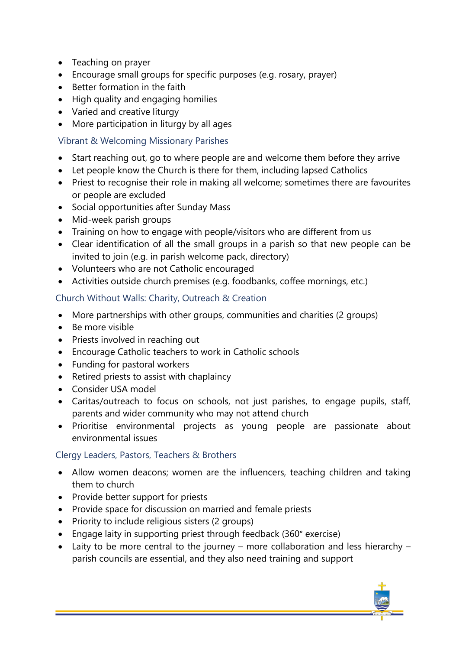- Teaching on prayer
- Encourage small groups for specific purposes (e.g. rosary, prayer)
- Better formation in the faith
- High quality and engaging homilies
- Varied and creative liturgy
- More participation in liturgy by all ages

## Vibrant & Welcoming Missionary Parishes

- Start reaching out, go to where people are and welcome them before they arrive
- Let people know the Church is there for them, including lapsed Catholics
- Priest to recognise their role in making all welcome; sometimes there are favourites or people are excluded
- Social opportunities after Sunday Mass
- Mid-week parish groups
- Training on how to engage with people/visitors who are different from us
- Clear identification of all the small groups in a parish so that new people can be invited to join (e.g. in parish welcome pack, directory)
- Volunteers who are not Catholic encouraged
- Activities outside church premises (e.g. foodbanks, coffee mornings, etc.)

## Church Without Walls: Charity, Outreach & Creation

- More partnerships with other groups, communities and charities (2 groups)
- Be more visible
- Priests involved in reaching out
- Encourage Catholic teachers to work in Catholic schools
- Funding for pastoral workers
- Retired priests to assist with chaplaincy
- Consider USA model
- Caritas/outreach to focus on schools, not just parishes, to engage pupils, staff, parents and wider community who may not attend church
- Prioritise environmental projects as young people are passionate about environmental issues

## Clergy Leaders, Pastors, Teachers & Brothers

- Allow women deacons; women are the influencers, teaching children and taking them to church
- Provide better support for priests
- Provide space for discussion on married and female priests
- Priority to include religious sisters (2 groups)
- Engage laity in supporting priest through feedback (360° exercise)
- Laity to be more central to the journey more collaboration and less hierarchy parish councils are essential, and they also need training and support

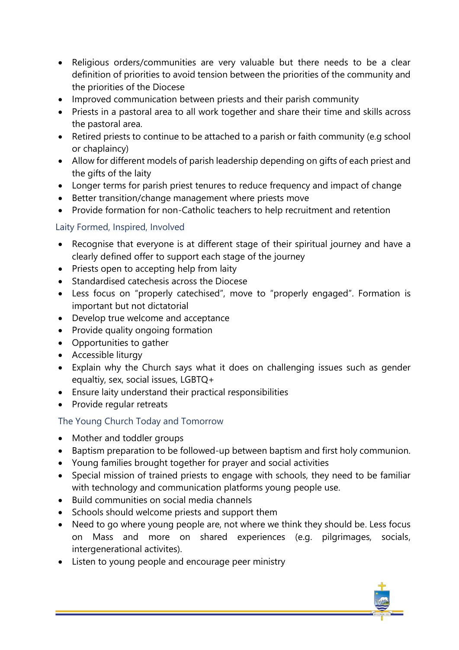- Religious orders/communities are very valuable but there needs to be a clear definition of priorities to avoid tension between the priorities of the community and the priorities of the Diocese
- Improved communication between priests and their parish community
- Priests in a pastoral area to all work together and share their time and skills across the pastoral area.
- Retired priests to continue to be attached to a parish or faith community (e.g school or chaplaincy)
- Allow for different models of parish leadership depending on gifts of each priest and the gifts of the laity
- Longer terms for parish priest tenures to reduce frequency and impact of change
- Better transition/change management where priests move
- Provide formation for non-Catholic teachers to help recruitment and retention

## Laity Formed, Inspired, Involved

- Recognise that everyone is at different stage of their spiritual journey and have a clearly defined offer to support each stage of the journey
- Priests open to accepting help from laity
- Standardised catechesis across the Diocese
- Less focus on "properly catechised", move to "properly engaged". Formation is important but not dictatorial
- Develop true welcome and acceptance
- Provide quality ongoing formation
- Opportunities to gather
- Accessible liturgy
- Explain why the Church says what it does on challenging issues such as gender equaltiy, sex, social issues, LGBTQ+
- Ensure laity understand their practical responsibilities
- Provide regular retreats

## The Young Church Today and Tomorrow

- Mother and toddler groups
- Baptism preparation to be followed-up between baptism and first holy communion.
- Young families brought together for prayer and social activities
- Special mission of trained priests to engage with schools, they need to be familiar with technology and communication platforms young people use.
- Build communities on social media channels
- Schools should welcome priests and support them
- Need to go where young people are, not where we think they should be. Less focus on Mass and more on shared experiences (e.g. pilgrimages, socials, intergenerational activites).
- Listen to young people and encourage peer ministry